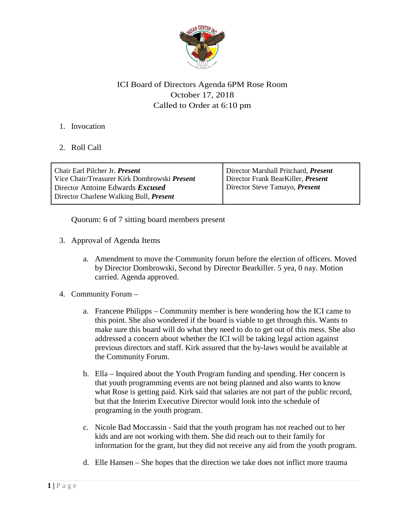

## ICI Board of Directors Agenda 6PM Rose Room October 17, 2018 Called to Order at 6:10 pm

- 1. Invocation
- 2. Roll Call

| Chair Earl Pilcher Jr. <i>Present</i>                                                     | Director Marshall Pritchard, Present |
|-------------------------------------------------------------------------------------------|--------------------------------------|
| Vice Chair/Treasurer Kirk Dombrowski <i>Present</i>                                       | Director Frank BearKiller, Present   |
| Director Antoine Edwards <i>Excused</i><br>Director Charlene Walking Bull, <i>Present</i> | Director Steve Tamayo, Present       |

Quorum: 6 of 7 sitting board members present

- 3. Approval of Agenda Items
	- a. Amendment to move the Community forum before the election of officers. Moved by Director Dombrowski, Second by Director Bearkiller. 5 yea, 0 nay. Motion carried. Agenda approved.
- 4. Community Forum
	- a. Francene Philipps Community member is here wondering how the ICI came to this point. She also wondered if the board is viable to get through this. Wants to make sure this board will do what they need to do to get out of this mess. She also addressed a concern about whether the ICI will be taking legal action against previous directors and staff. Kirk assured that the by-laws would be available at the Community Forum.
	- b. Ella Inquired about the Youth Program funding and spending. Her concern is that youth programming events are not being planned and also wants to know what Rose is getting paid. Kirk said that salaries are not part of the public record, but that the Interim Executive Director would look into the schedule of programing in the youth program.
	- c. Nicole Bad Moccassin Said that the youth program has not reached out to her kids and are not working with them. She did reach out to their family for information for the grant, but they did not receive any aid from the youth program.
	- d. Elle Hansen She hopes that the direction we take does not inflict more trauma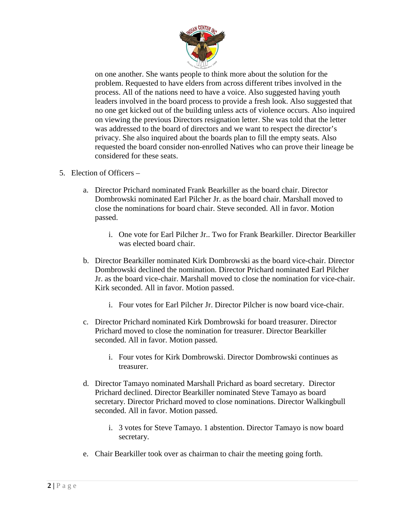

on one another. She wants people to think more about the solution for the problem. Requested to have elders from across different tribes involved in the process. All of the nations need to have a voice. Also suggested having youth leaders involved in the board process to provide a fresh look. Also suggested that no one get kicked out of the building unless acts of violence occurs. Also inquired on viewing the previous Directors resignation letter. She was told that the letter was addressed to the board of directors and we want to respect the director's privacy. She also inquired about the boards plan to fill the empty seats. Also requested the board consider non-enrolled Natives who can prove their lineage be considered for these seats.

- 5. Election of Officers
	- a. Director Prichard nominated Frank Bearkiller as the board chair. Director Dombrowski nominated Earl Pilcher Jr. as the board chair. Marshall moved to close the nominations for board chair. Steve seconded. All in favor. Motion passed.
		- i. One vote for Earl Pilcher Jr.. Two for Frank Bearkiller. Director Bearkiller was elected board chair.
	- b. Director Bearkiller nominated Kirk Dombrowski as the board vice-chair. Director Dombrowski declined the nomination. Director Prichard nominated Earl Pilcher Jr. as the board vice-chair. Marshall moved to close the nomination for vice-chair. Kirk seconded. All in favor. Motion passed.
		- i. Four votes for Earl Pilcher Jr. Director Pilcher is now board vice-chair.
	- c. Director Prichard nominated Kirk Dombrowski for board treasurer. Director Prichard moved to close the nomination for treasurer. Director Bearkiller seconded. All in favor. Motion passed.
		- i. Four votes for Kirk Dombrowski. Director Dombrowski continues as treasurer.
	- d. Director Tamayo nominated Marshall Prichard as board secretary. Director Prichard declined. Director Bearkiller nominated Steve Tamayo as board secretary. Director Prichard moved to close nominations. Director Walkingbull seconded. All in favor. Motion passed.
		- i. 3 votes for Steve Tamayo. 1 abstention. Director Tamayo is now board secretary.
	- e. Chair Bearkiller took over as chairman to chair the meeting going forth.